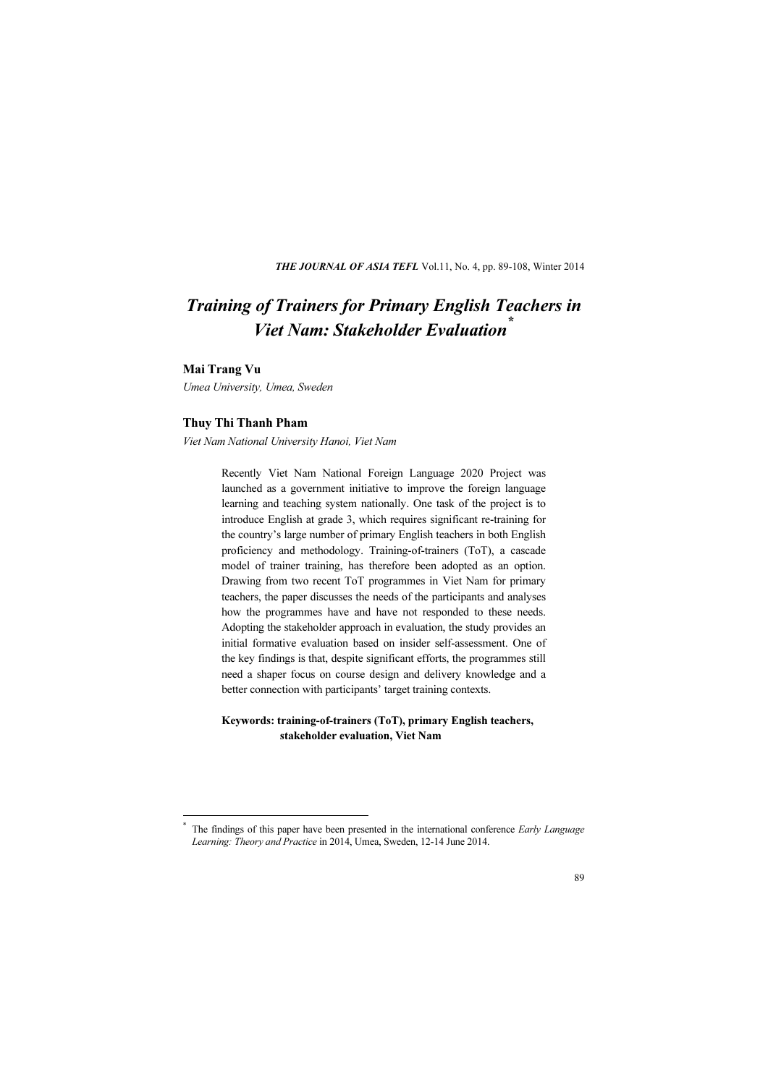THE JOURNAL OF ASIA TEFL Vol.11, No. 4, pp. 89-108, Winter 2014

# Training of Trainers for Primary English Teachers in Viet Nam: Stakeholder Evaluation<sup>\*</sup>

 $\overline{a}$ \*

van Trans<br>Umea University, Umea, Sweden

Thuy Thi Thanh Pham Viet Nam National University Hanoi, Viet Nam

Recently Viet Nam National Foreign Language 2020 Project was launched as a government initiative to improve the foreign language learning and teaching system nationally. One task of the project is to introduce English at grade 3, which requires significant re-training for the country's large number of primary English teachers in both English proficiency and methodology. Training-of-trainers (ToT), a cascade model of trainer training, has therefore been adopted as an option. Drawing from two recent ToT programmes in Viet Nam for primary teachers, the paper discusses the needs of the participants and analyses how the programmes have and have not responded to these needs. Adopting the stakeholder approach in evaluation, the study provides an initial formative evaluation based on insider self-assessment. One of the key findings is that, despite significant efforts, the programmes still need a shaper focus on course design and delivery knowledge and a better connection with participants' target training contexts.

#### Keywords: training-of-trainers (ToT), primary English teachers, stakeholder evaluation, Viet Nam

The findings of this paper have been presented in the international conference Early Language Learning: Theory and Practice in 2014, Umea, Sweden, 12-14 June 2014.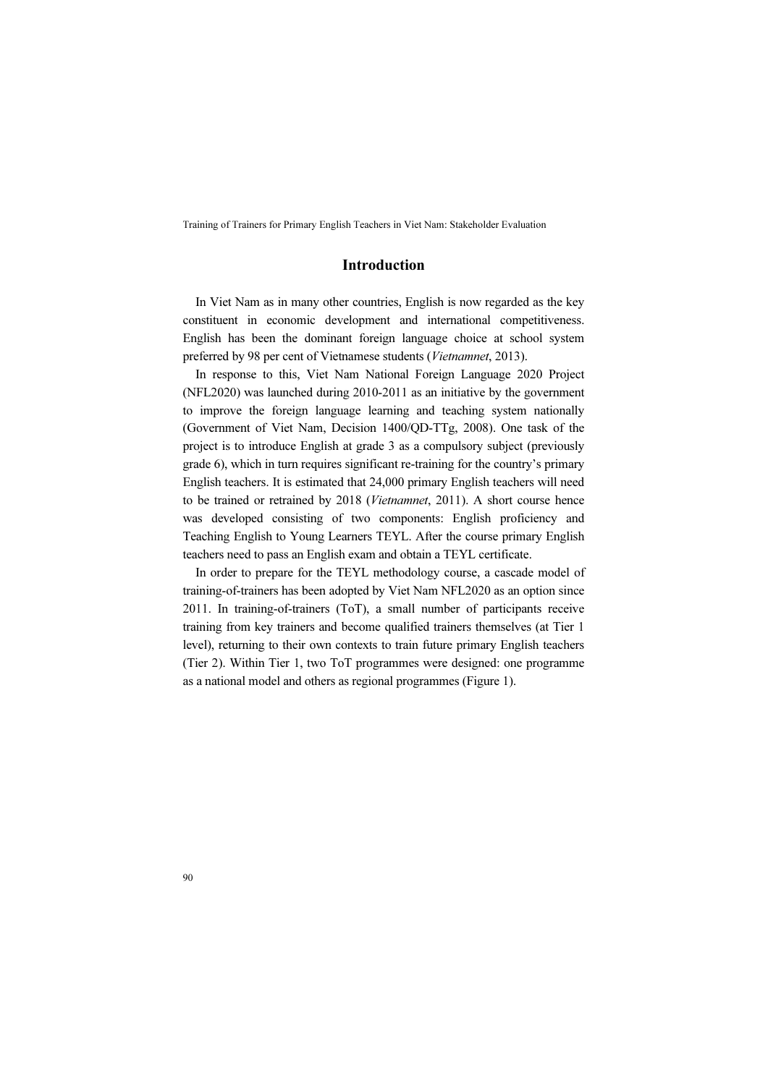#### Introduction

In Viet Nam as in many other countries, English is now regarded as the key constituent in economic development and international competitiveness. English has been the dominant foreign language choice at school system preferred by 98 per cent of Vietnamese students (Vietnamnet, 2013).

In response to this, Viet Nam National Foreign Language 2020 Project (NFL2020) was launched during 2010-2011 as an initiative by the government to improve the foreign language learning and teaching system nationally (Government of Viet Nam, Decision 1400/QD-TTg, 2008). One task of the project is to introduce English at grade 3 as a compulsory subject (previously grade 6), which in turn requires significant re-training for the country's primary English teachers. It is estimated that 24,000 primary English teachers will need to be trained or retrained by 2018 (Vietnamnet, 2011). A short course hence was developed consisting of two components: English proficiency and Teaching English to Young Learners TEYL. After the course primary English teachers need to pass an English exam and obtain a TEYL certificate.

In order to prepare for the TEYL methodology course, a cascade model of training-of-trainers has been adopted by Viet Nam NFL2020 as an option since 2011. In training-of-trainers (ToT), a small number of participants receive training from key trainers and become qualified trainers themselves (at Tier 1 level), returning to their own contexts to train future primary English teachers (Tier 2). Within Tier 1, two ToT programmes were designed: one programme as a national model and others as regional programmes (Figure 1).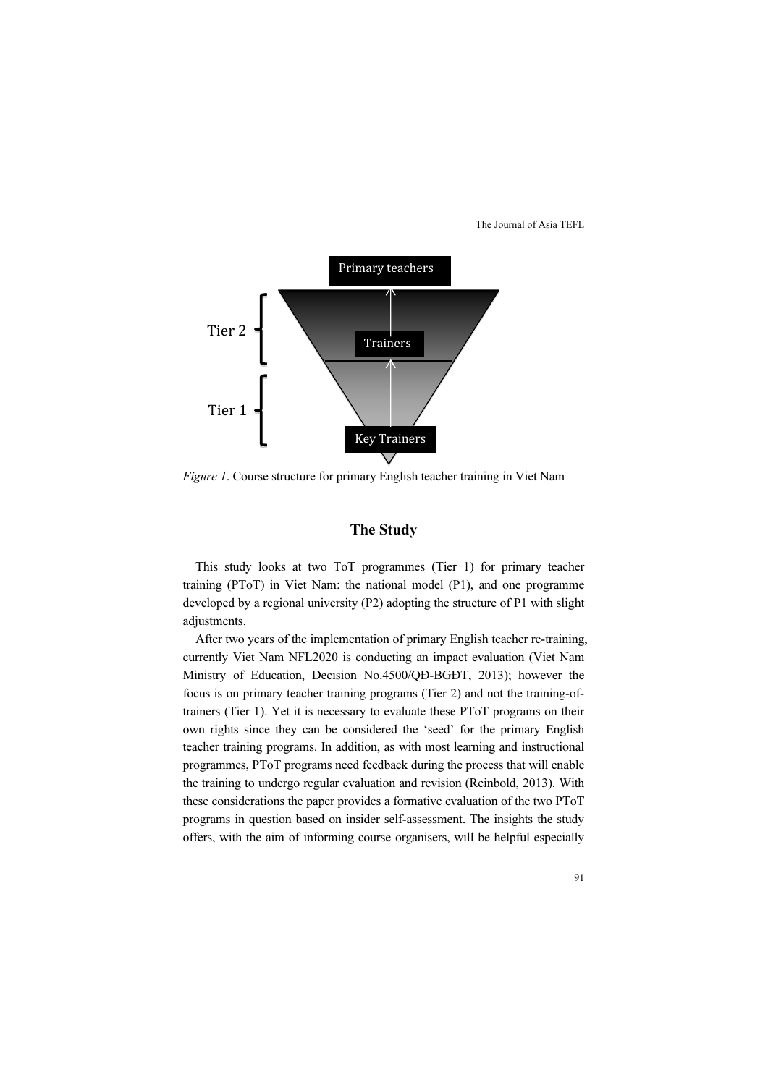

Figure 1. Course structure for primary English teacher training in Viet Nam

## The Study

This study looks at two ToT programmes (Tier 1) for primary teacher training (PToT) in Viet Nam: the national model (P1), and one programme developed by a regional university (P2) adopting the structure of P1 with slight adjustments.

After two years of the implementation of primary English teacher re-training, currently Viet Nam NFL2020 is conducting an impact evaluation (Viet Nam Ministry of Education, Decision No.4500/QĐ-BGĐT, 2013); however the focus is on primary teacher training programs (Tier 2) and not the training-oftrainers (Tier 1). Yet it is necessary to evaluate these PToT programs on their own rights since they can be considered the 'seed' for the primary English teacher training programs. In addition, as with most learning and instructional programmes, PToT programs need feedback during the process that will enable the training to undergo regular evaluation and revision (Reinbold, 2013). With these considerations the paper provides a formative evaluation of the two PToT programs in question based on insider self-assessment. The insights the study offers, with the aim of informing course organisers, will be helpful especially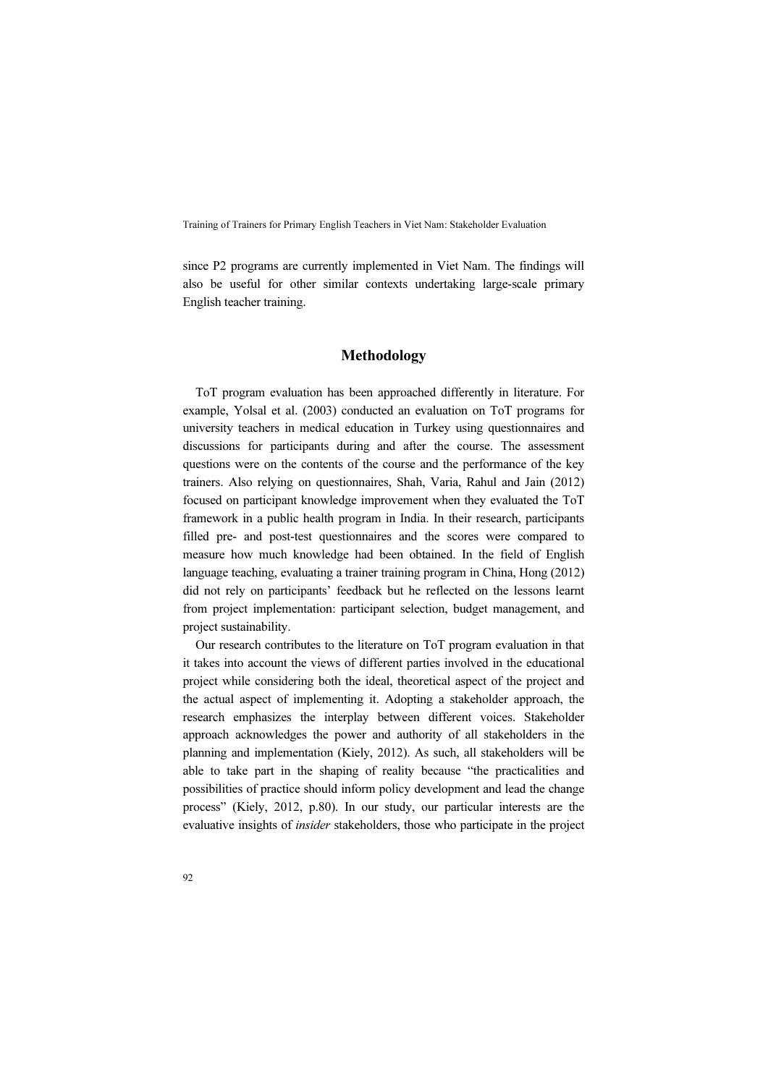since P2 programs are currently implemented in Viet Nam. The findings will also be useful for other similar contexts undertaking large-scale primary English teacher training.

#### Methodology

ToT program evaluation has been approached differently in literature. For example, Yolsal et al. (2003) conducted an evaluation on ToT programs for university teachers in medical education in Turkey using questionnaires and discussions for participants during and after the course. The assessment questions were on the contents of the course and the performance of the key trainers. Also relying on questionnaires, Shah, Varia, Rahul and Jain (2012) focused on participant knowledge improvement when they evaluated the ToT framework in a public health program in India. In their research, participants filled pre- and post-test questionnaires and the scores were compared to measure how much knowledge had been obtained. In the field of English language teaching, evaluating a trainer training program in China, Hong (2012) did not rely on participants' feedback but he reflected on the lessons learnt from project implementation: participant selection, budget management, and project sustainability.

Our research contributes to the literature on ToT program evaluation in that it takes into account the views of different parties involved in the educational project while considering both the ideal, theoretical aspect of the project and the actual aspect of implementing it. Adopting a stakeholder approach, the research emphasizes the interplay between different voices. Stakeholder approach acknowledges the power and authority of all stakeholders in the planning and implementation (Kiely, 2012). As such, all stakeholders will be able to take part in the shaping of reality because "the practicalities and possibilities of practice should inform policy development and lead the change process" (Kiely, 2012, p.80). In our study, our particular interests are the evaluative insights of insider stakeholders, those who participate in the project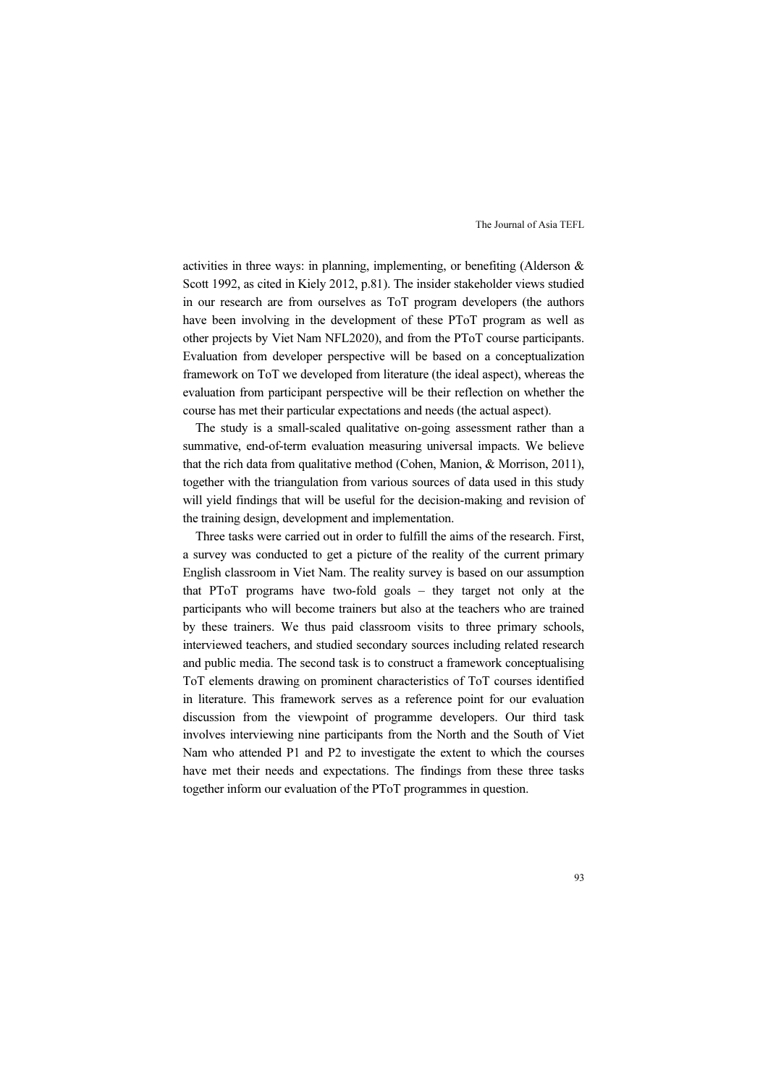activities in three ways: in planning, implementing, or benefiting (Alderson & Scott 1992, as cited in Kiely 2012, p.81). The insider stakeholder views studied in our research are from ourselves as ToT program developers (the authors have been involving in the development of these PToT program as well as other projects by Viet Nam NFL2020), and from the PToT course participants. Evaluation from developer perspective will be based on a conceptualization framework on ToT we developed from literature (the ideal aspect), whereas the evaluation from participant perspective will be their reflection on whether the course has met their particular expectations and needs (the actual aspect).

The study is a small-scaled qualitative on-going assessment rather than a summative, end-of-term evaluation measuring universal impacts. We believe that the rich data from qualitative method (Cohen, Manion, & Morrison, 2011), together with the triangulation from various sources of data used in this study will yield findings that will be useful for the decision-making and revision of the training design, development and implementation.

Three tasks were carried out in order to fulfill the aims of the research. First, a survey was conducted to get a picture of the reality of the current primary English classroom in Viet Nam. The reality survey is based on our assumption that PToT programs have two-fold goals – they target not only at the participants who will become trainers but also at the teachers who are trained by these trainers. We thus paid classroom visits to three primary schools, interviewed teachers, and studied secondary sources including related research and public media. The second task is to construct a framework conceptualising ToT elements drawing on prominent characteristics of ToT courses identified in literature. This framework serves as a reference point for our evaluation discussion from the viewpoint of programme developers. Our third task involves interviewing nine participants from the North and the South of Viet Nam who attended P1 and P2 to investigate the extent to which the courses have met their needs and expectations. The findings from these three tasks together inform our evaluation of the PToT programmes in question.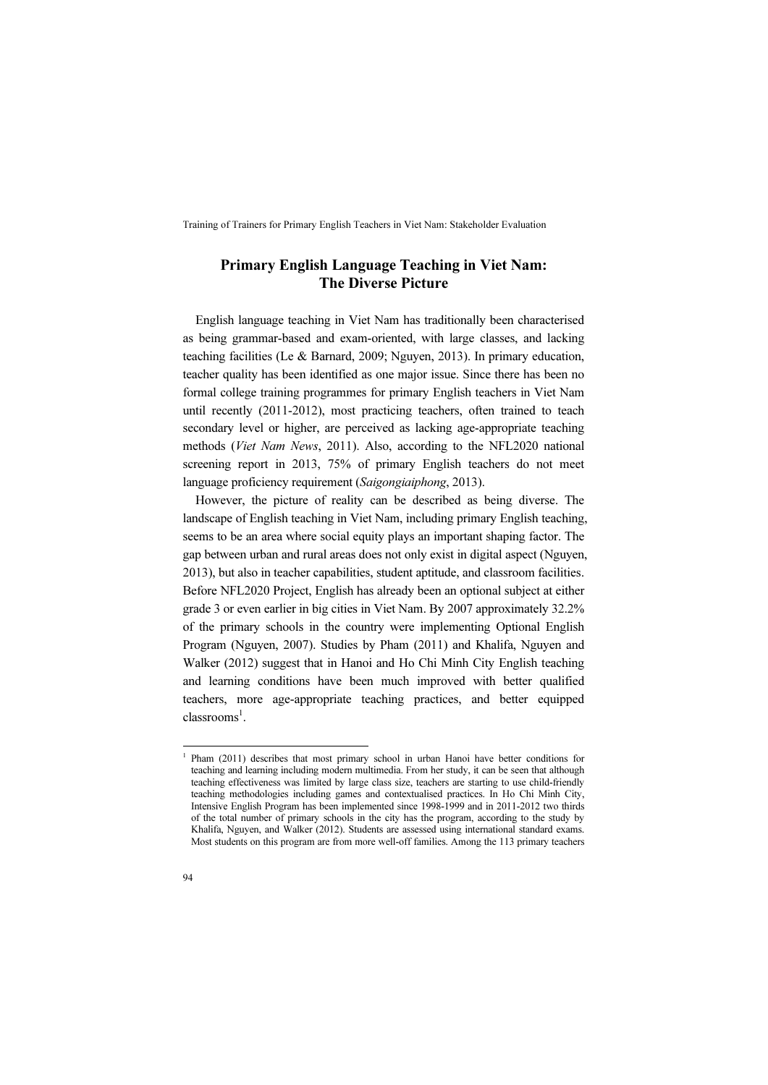## Primary English Language Teaching in Viet Nam: The Diverse Picture

English language teaching in Viet Nam has traditionally been characterised as being grammar-based and exam-oriented, with large classes, and lacking teaching facilities (Le & Barnard, 2009; Nguyen, 2013). In primary education, teacher quality has been identified as one major issue. Since there has been no formal college training programmes for primary English teachers in Viet Nam until recently (2011-2012), most practicing teachers, often trained to teach secondary level or higher, are perceived as lacking age-appropriate teaching methods (Viet Nam News, 2011). Also, according to the NFL2020 national screening report in 2013, 75% of primary English teachers do not meet language proficiency requirement (Saigongiaiphong, 2013).

However, the picture of reality can be described as being diverse. The landscape of English teaching in Viet Nam, including primary English teaching, seems to be an area where social equity plays an important shaping factor. The gap between urban and rural areas does not only exist in digital aspect (Nguyen, 2013), but also in teacher capabilities, student aptitude, and classroom facilities. Before NFL2020 Project, English has already been an optional subject at either grade 3 or even earlier in big cities in Viet Nam. By 2007 approximately 32.2% of the primary schools in the country were implementing Optional English Program (Nguyen, 2007). Studies by Pham (2011) and Khalifa, Nguyen and Walker (2012) suggest that in Hanoi and Ho Chi Minh City English teaching and learning conditions have been much improved with better qualified teachers, more age-appropriate teaching practices, and better equipped classrooms<sup>1</sup>.

 $\overline{a}$ 

<sup>&</sup>lt;sup>1</sup> Pham (2011) describes that most primary school in urban Hanoi have better conditions for teaching and learning including modern multimedia. From her study, it can be seen that although teaching effectiveness was limited by large class size, teachers are starting to use child-friendly teaching methodologies including games and contextualised practices. In Ho Chi Minh City, Intensive English Program has been implemented since 1998-1999 and in 2011-2012 two thirds of the total number of primary schools in the city has the program, according to the study by Khalifa, Nguyen, and Walker (2012). Students are assessed using international standard exams. Most students on this program are from more well-off families. Among the 113 primary teachers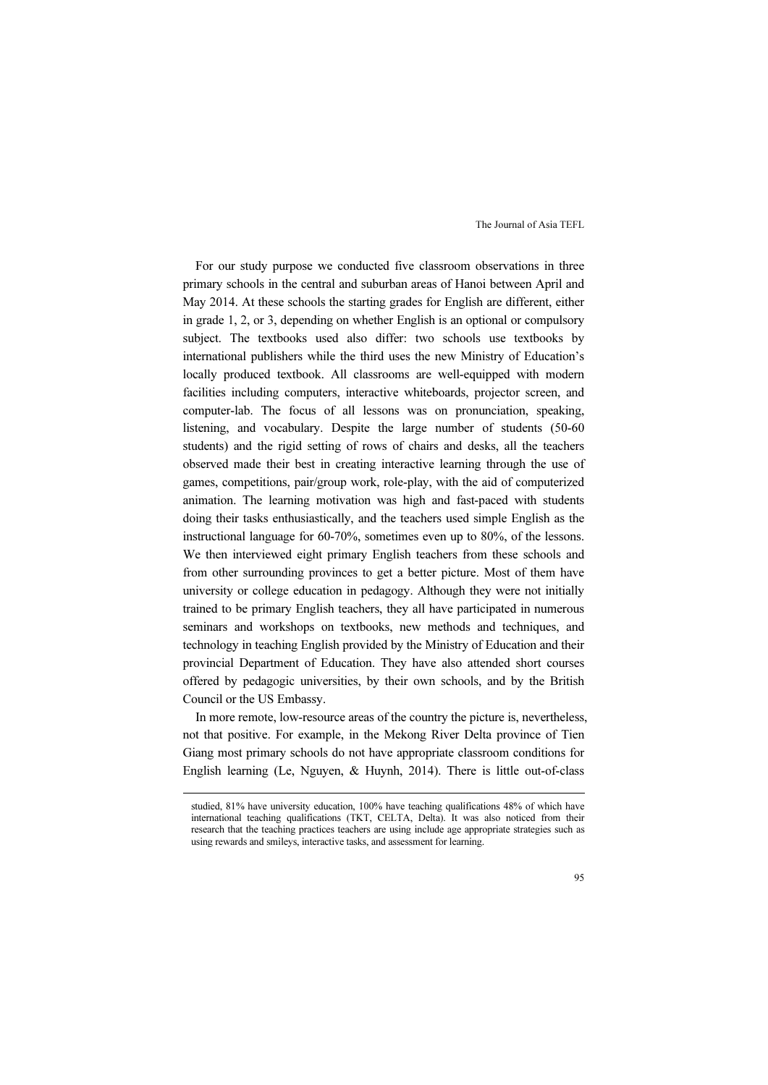For our study purpose we conducted five classroom observations in three primary schools in the central and suburban areas of Hanoi between April and May 2014. At these schools the starting grades for English are different, either in grade 1, 2, or 3, depending on whether English is an optional or compulsory subject. The textbooks used also differ: two schools use textbooks by international publishers while the third uses the new Ministry of Education's locally produced textbook. All classrooms are well-equipped with modern facilities including computers, interactive whiteboards, projector screen, and computer-lab. The focus of all lessons was on pronunciation, speaking, listening, and vocabulary. Despite the large number of students (50-60 students) and the rigid setting of rows of chairs and desks, all the teachers observed made their best in creating interactive learning through the use of games, competitions, pair/group work, role-play, with the aid of computerized animation. The learning motivation was high and fast-paced with students doing their tasks enthusiastically, and the teachers used simple English as the instructional language for 60-70%, sometimes even up to 80%, of the lessons. We then interviewed eight primary English teachers from these schools and from other surrounding provinces to get a better picture. Most of them have university or college education in pedagogy. Although they were not initially trained to be primary English teachers, they all have participated in numerous seminars and workshops on textbooks, new methods and techniques, and technology in teaching English provided by the Ministry of Education and their provincial Department of Education. They have also attended short courses offered by pedagogic universities, by their own schools, and by the British Council or the US Embassy.

In more remote, low-resource areas of the country the picture is, nevertheless, not that positive. For example, in the Mekong River Delta province of Tien Giang most primary schools do not have appropriate classroom conditions for English learning (Le, Nguyen, & Huynh, 2014). There is little out-of-class

 $\overline{a}$ 

studied, 81% have university education, 100% have teaching qualifications 48% of which have international teaching qualifications (TKT, CELTA, Delta). It was also noticed from their research that the teaching practices teachers are using include age appropriate strategies such as using rewards and smileys, interactive tasks, and assessment for learning.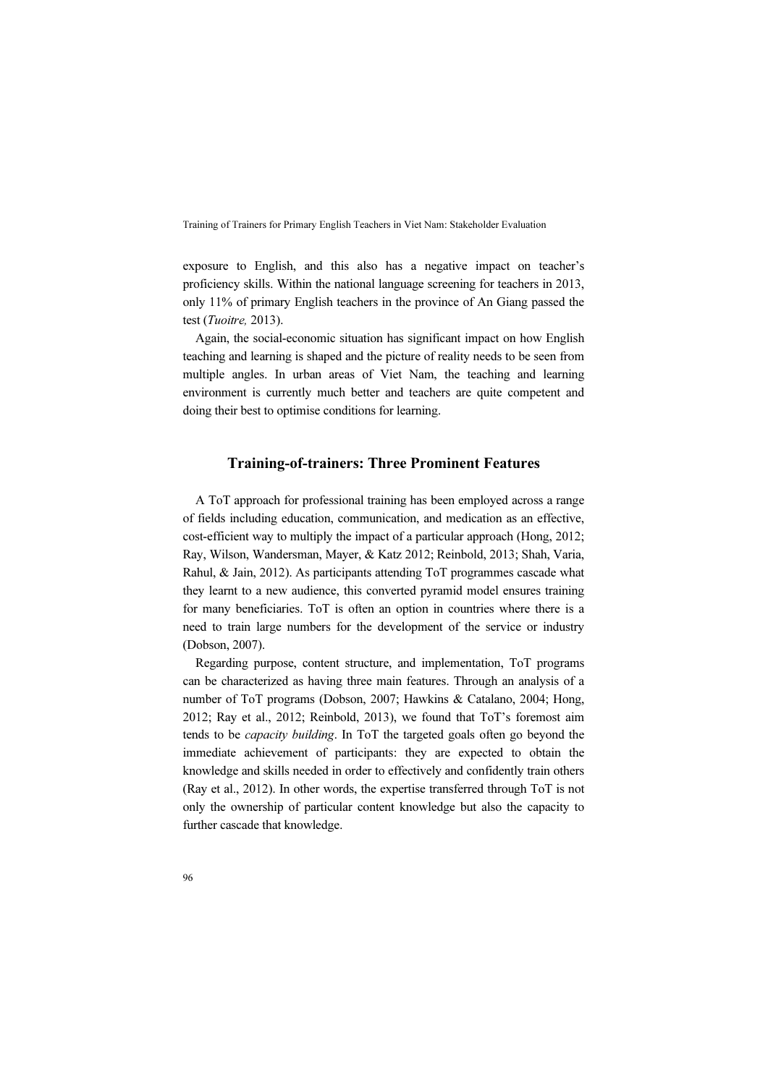exposure to English, and this also has a negative impact on teacher's proficiency skills. Within the national language screening for teachers in 2013, only 11% of primary English teachers in the province of An Giang passed the test (Tuoitre, 2013).

Again, the social-economic situation has significant impact on how English teaching and learning is shaped and the picture of reality needs to be seen from multiple angles. In urban areas of Viet Nam, the teaching and learning environment is currently much better and teachers are quite competent and doing their best to optimise conditions for learning.

### Training-of-trainers: Three Prominent Features

A ToT approach for professional training has been employed across a range of fields including education, communication, and medication as an effective, cost-efficient way to multiply the impact of a particular approach (Hong, 2012; Ray, Wilson, Wandersman, Mayer, & Katz 2012; Reinbold, 2013; Shah, Varia, Rahul, & Jain, 2012). As participants attending ToT programmes cascade what they learnt to a new audience, this converted pyramid model ensures training for many beneficiaries. ToT is often an option in countries where there is a need to train large numbers for the development of the service or industry (Dobson, 2007).

Regarding purpose, content structure, and implementation, ToT programs can be characterized as having three main features. Through an analysis of a number of ToT programs (Dobson, 2007; Hawkins & Catalano, 2004; Hong, 2012; Ray et al., 2012; Reinbold, 2013), we found that ToT's foremost aim tends to be capacity building. In ToT the targeted goals often go beyond the immediate achievement of participants: they are expected to obtain the knowledge and skills needed in order to effectively and confidently train others (Ray et al., 2012). In other words, the expertise transferred through ToT is not only the ownership of particular content knowledge but also the capacity to further cascade that knowledge.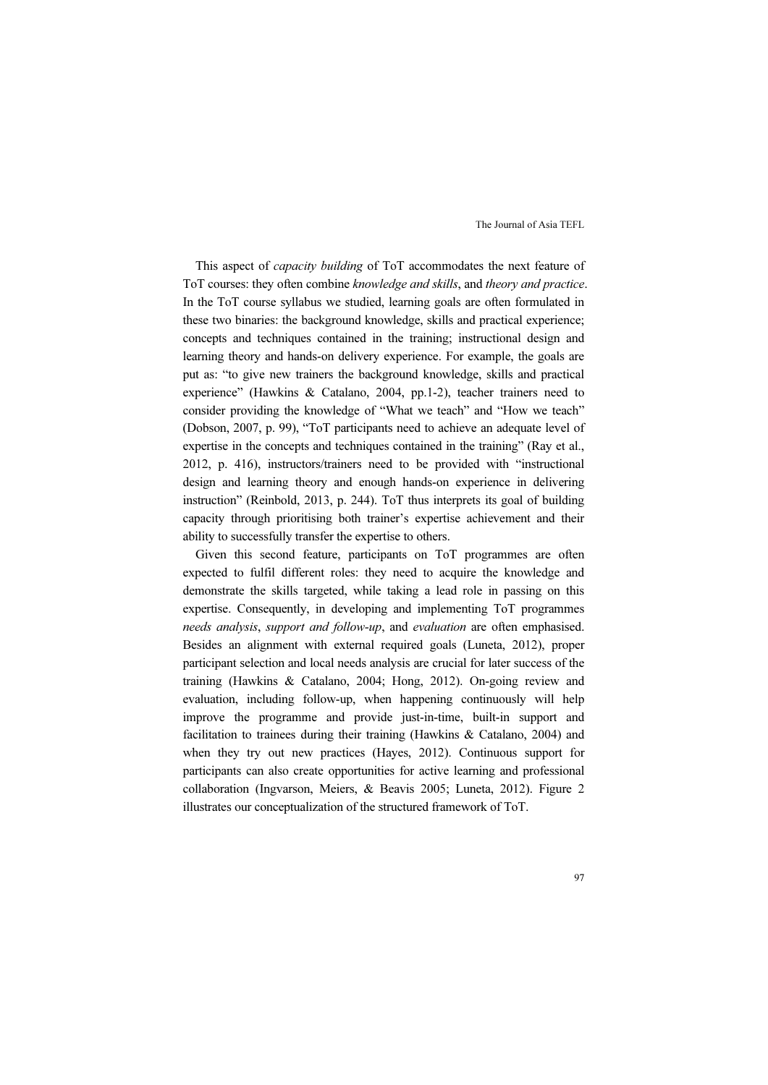This aspect of capacity building of ToT accommodates the next feature of ToT courses: they often combine knowledge and skills, and theory and practice. In the ToT course syllabus we studied, learning goals are often formulated in these two binaries: the background knowledge, skills and practical experience; concepts and techniques contained in the training; instructional design and learning theory and hands-on delivery experience. For example, the goals are put as: "to give new trainers the background knowledge, skills and practical experience" (Hawkins & Catalano, 2004, pp.1-2), teacher trainers need to consider providing the knowledge of "What we teach" and "How we teach" (Dobson, 2007, p. 99), "ToT participants need to achieve an adequate level of expertise in the concepts and techniques contained in the training" (Ray et al., 2012, p. 416), instructors/trainers need to be provided with "instructional design and learning theory and enough hands-on experience in delivering instruction" (Reinbold, 2013, p. 244). ToT thus interprets its goal of building capacity through prioritising both trainer's expertise achievement and their ability to successfully transfer the expertise to others.

Given this second feature, participants on ToT programmes are often expected to fulfil different roles: they need to acquire the knowledge and demonstrate the skills targeted, while taking a lead role in passing on this expertise. Consequently, in developing and implementing ToT programmes needs analysis, support and follow-up, and evaluation are often emphasised. Besides an alignment with external required goals (Luneta, 2012), proper participant selection and local needs analysis are crucial for later success of the training (Hawkins & Catalano, 2004; Hong, 2012). On-going review and evaluation, including follow-up, when happening continuously will help improve the programme and provide just-in-time, built-in support and facilitation to trainees during their training (Hawkins & Catalano, 2004) and when they try out new practices (Hayes, 2012). Continuous support for participants can also create opportunities for active learning and professional collaboration (Ingvarson, Meiers, & Beavis 2005; Luneta, 2012). Figure 2 illustrates our conceptualization of the structured framework of ToT.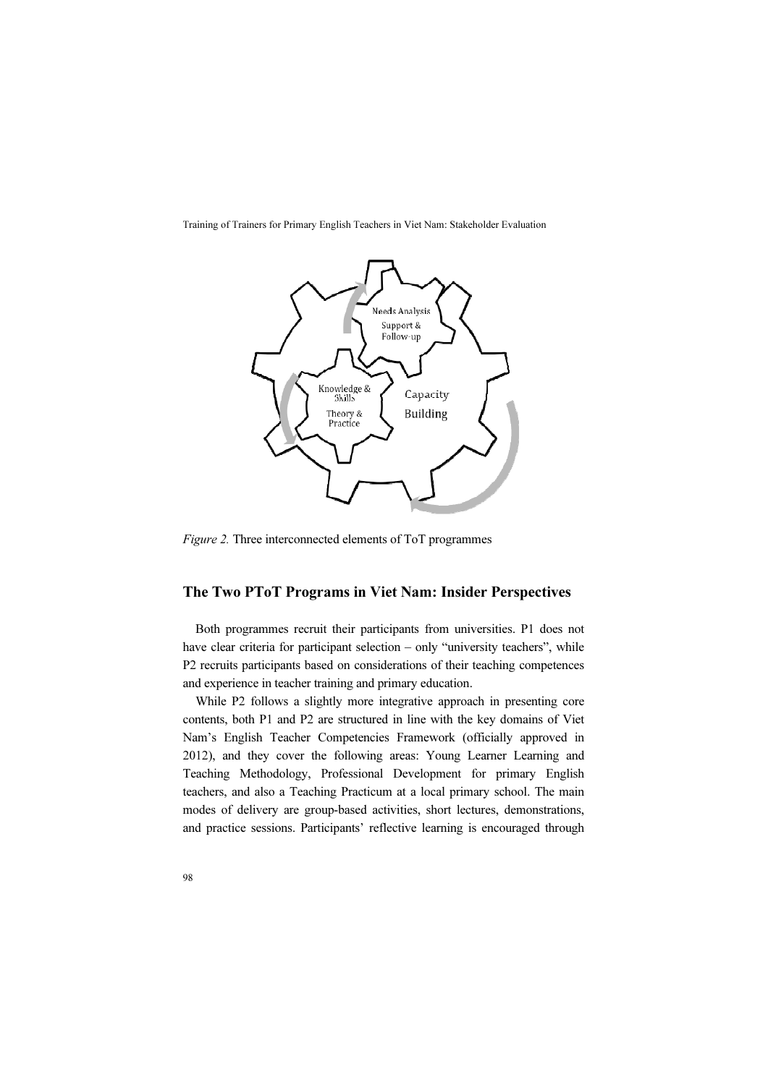

Figure 2. Three interconnected elements of ToT programmes

### The Two PToT Programs in Viet Nam: Insider Perspectives

Both programmes recruit their participants from universities. P1 does not have clear criteria for participant selection – only "university teachers", while P2 recruits participants based on considerations of their teaching competences and experience in teacher training and primary education.

While P2 follows a slightly more integrative approach in presenting core contents, both P1 and P2 are structured in line with the key domains of Viet Nam's English Teacher Competencies Framework (officially approved in 2012), and they cover the following areas: Young Learner Learning and Teaching Methodology, Professional Development for primary English teachers, and also a Teaching Practicum at a local primary school. The main modes of delivery are group-based activities, short lectures, demonstrations, and practice sessions. Participants' reflective learning is encouraged through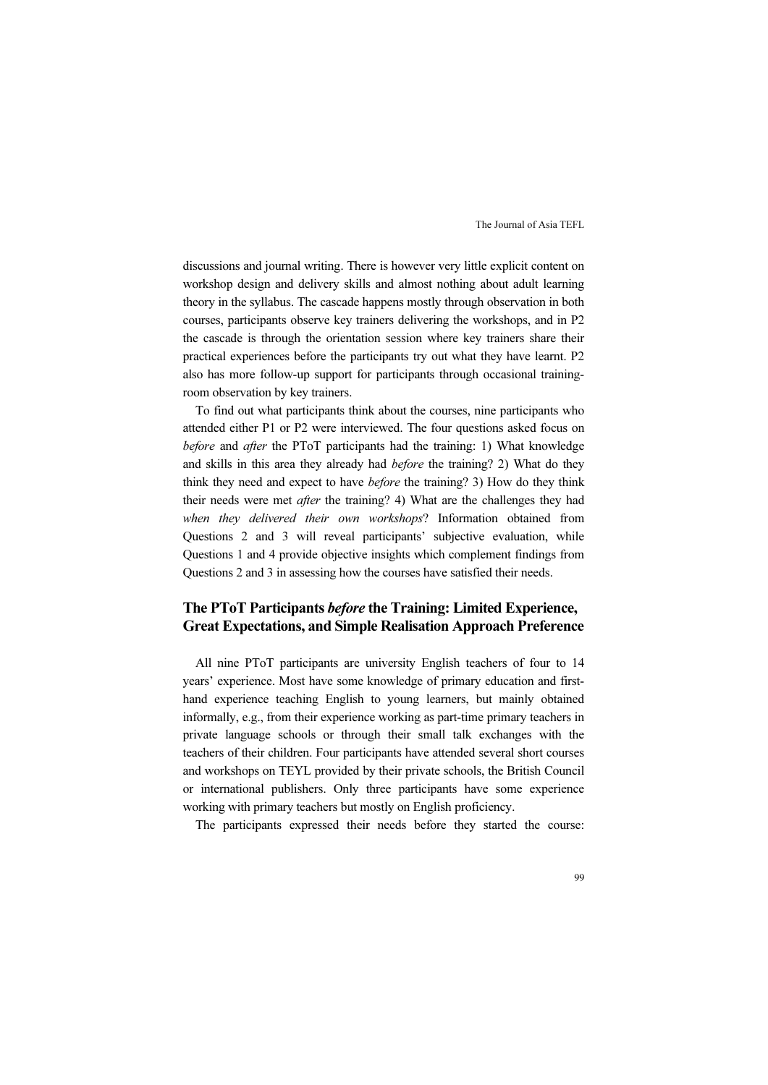discussions and journal writing. There is however very little explicit content on workshop design and delivery skills and almost nothing about adult learning theory in the syllabus. The cascade happens mostly through observation in both courses, participants observe key trainers delivering the workshops, and in P2 the cascade is through the orientation session where key trainers share their practical experiences before the participants try out what they have learnt. P2 also has more follow-up support for participants through occasional trainingroom observation by key trainers.

To find out what participants think about the courses, nine participants who attended either P1 or P2 were interviewed. The four questions asked focus on before and *after* the PToT participants had the training: 1) What knowledge and skills in this area they already had before the training? 2) What do they think they need and expect to have before the training? 3) How do they think their needs were met *after* the training? 4) What are the challenges they had when they delivered their own workshops? Information obtained from Questions 2 and 3 will reveal participants' subjective evaluation, while Questions 1 and 4 provide objective insights which complement findings from Questions 2 and 3 in assessing how the courses have satisfied their needs.

## The PToT Participants before the Training: Limited Experience, Great Expectations, and Simple Realisation Approach Preference

All nine PToT participants are university English teachers of four to 14 years' experience. Most have some knowledge of primary education and firsthand experience teaching English to young learners, but mainly obtained informally, e.g., from their experience working as part-time primary teachers in private language schools or through their small talk exchanges with the teachers of their children. Four participants have attended several short courses and workshops on TEYL provided by their private schools, the British Council or international publishers. Only three participants have some experience working with primary teachers but mostly on English proficiency.

The participants expressed their needs before they started the course: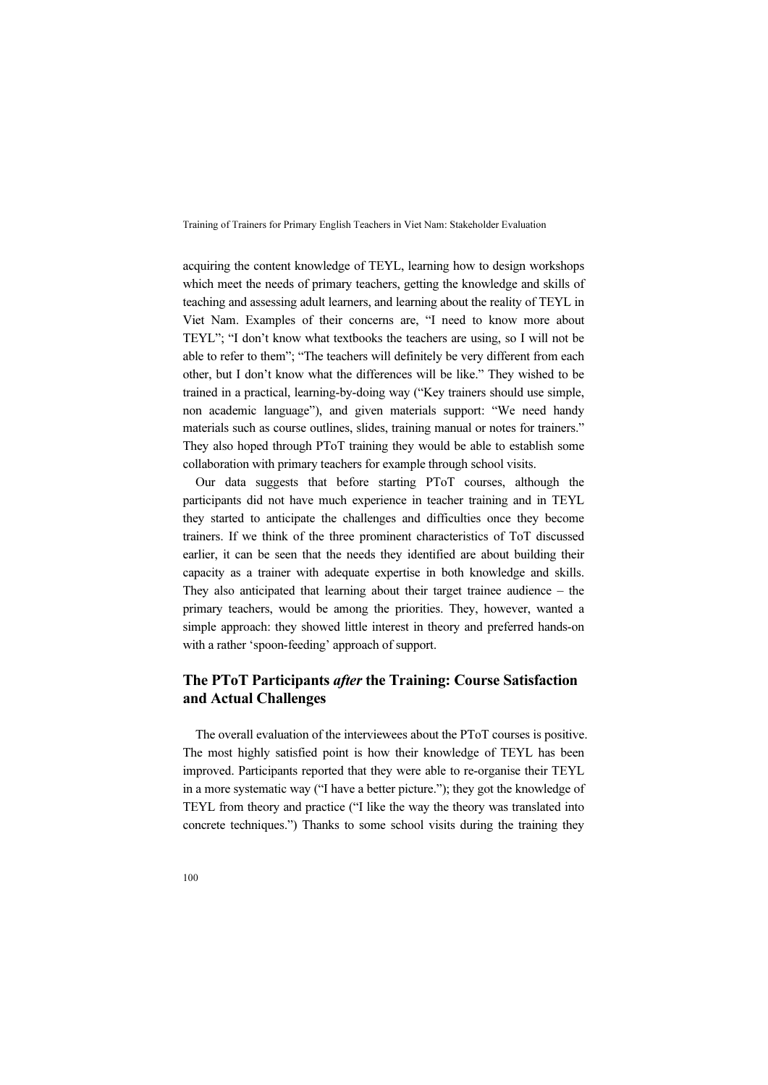acquiring the content knowledge of TEYL, learning how to design workshops which meet the needs of primary teachers, getting the knowledge and skills of teaching and assessing adult learners, and learning about the reality of TEYL in Viet Nam. Examples of their concerns are, "I need to know more about TEYL"; "I don't know what textbooks the teachers are using, so I will not be able to refer to them"; "The teachers will definitely be very different from each other, but I don't know what the differences will be like." They wished to be trained in a practical, learning-by-doing way ("Key trainers should use simple, non academic language"), and given materials support: "We need handy materials such as course outlines, slides, training manual or notes for trainers." They also hoped through PToT training they would be able to establish some collaboration with primary teachers for example through school visits.

Our data suggests that before starting PToT courses, although the participants did not have much experience in teacher training and in TEYL they started to anticipate the challenges and difficulties once they become trainers. If we think of the three prominent characteristics of ToT discussed earlier, it can be seen that the needs they identified are about building their capacity as a trainer with adequate expertise in both knowledge and skills. They also anticipated that learning about their target trainee audience – the primary teachers, would be among the priorities. They, however, wanted a simple approach: they showed little interest in theory and preferred hands-on with a rather 'spoon-feeding' approach of support.

## The PToT Participants after the Training: Course Satisfaction and Actual Challenges

The overall evaluation of the interviewees about the PToT courses is positive. The most highly satisfied point is how their knowledge of TEYL has been improved. Participants reported that they were able to re-organise their TEYL in a more systematic way ("I have a better picture."); they got the knowledge of TEYL from theory and practice ("I like the way the theory was translated into concrete techniques.") Thanks to some school visits during the training they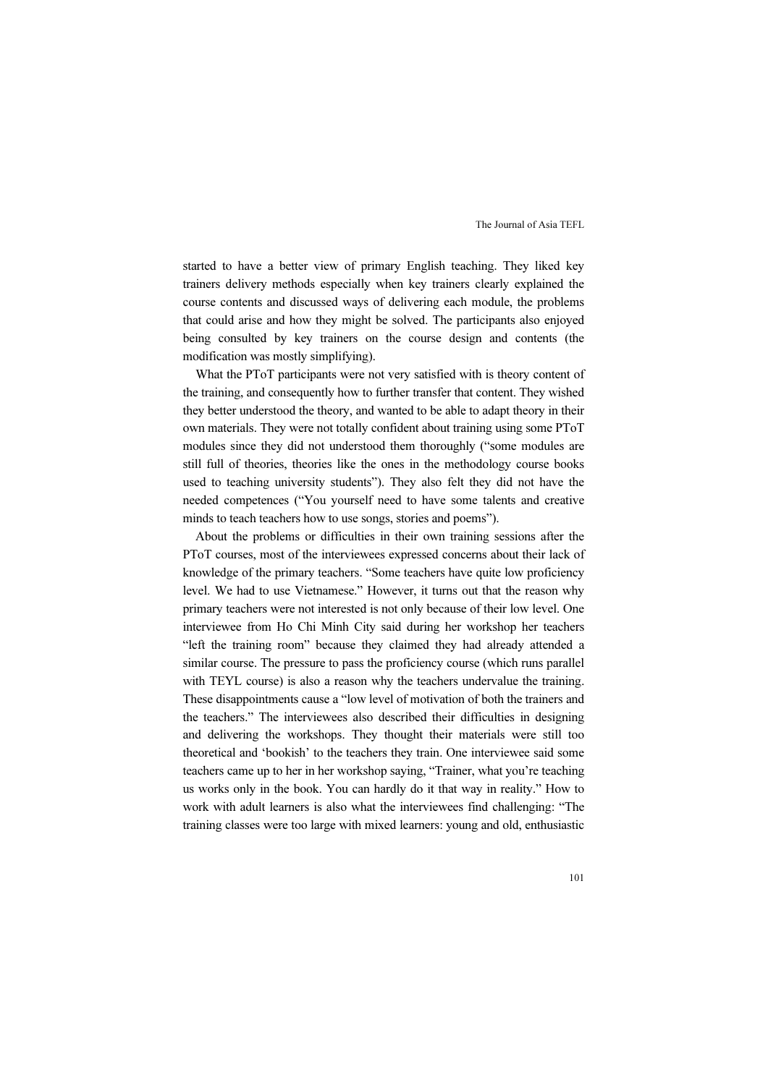started to have a better view of primary English teaching. They liked key trainers delivery methods especially when key trainers clearly explained the course contents and discussed ways of delivering each module, the problems that could arise and how they might be solved. The participants also enjoyed being consulted by key trainers on the course design and contents (the modification was mostly simplifying).

What the PToT participants were not very satisfied with is theory content of the training, and consequently how to further transfer that content. They wished they better understood the theory, and wanted to be able to adapt theory in their own materials. They were not totally confident about training using some PToT modules since they did not understood them thoroughly ("some modules are still full of theories, theories like the ones in the methodology course books used to teaching university students"). They also felt they did not have the needed competences ("You yourself need to have some talents and creative minds to teach teachers how to use songs, stories and poems").

About the problems or difficulties in their own training sessions after the PToT courses, most of the interviewees expressed concerns about their lack of knowledge of the primary teachers. "Some teachers have quite low proficiency level. We had to use Vietnamese." However, it turns out that the reason why primary teachers were not interested is not only because of their low level. One interviewee from Ho Chi Minh City said during her workshop her teachers "left the training room" because they claimed they had already attended a similar course. The pressure to pass the proficiency course (which runs parallel with TEYL course) is also a reason why the teachers undervalue the training. These disappointments cause a "low level of motivation of both the trainers and the teachers." The interviewees also described their difficulties in designing and delivering the workshops. They thought their materials were still too theoretical and 'bookish' to the teachers they train. One interviewee said some teachers came up to her in her workshop saying, "Trainer, what you're teaching us works only in the book. You can hardly do it that way in reality." How to work with adult learners is also what the interviewees find challenging: "The training classes were too large with mixed learners: young and old, enthusiastic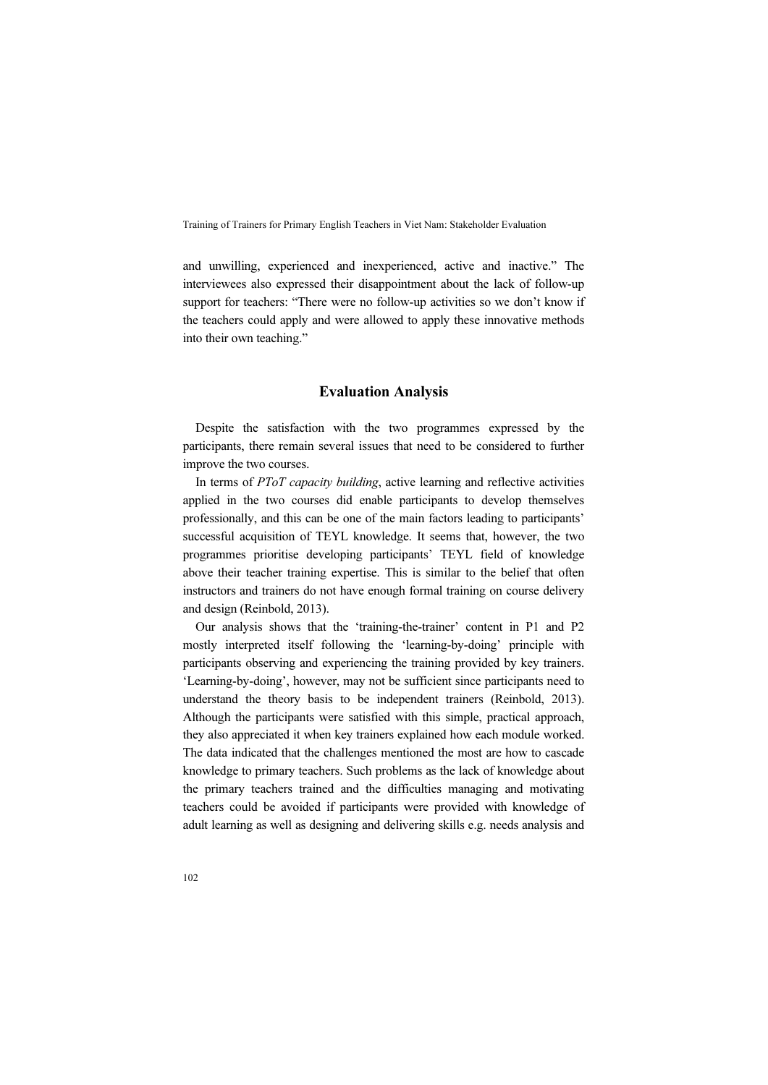and unwilling, experienced and inexperienced, active and inactive." The interviewees also expressed their disappointment about the lack of follow-up support for teachers: "There were no follow-up activities so we don't know if the teachers could apply and were allowed to apply these innovative methods into their own teaching."

### Evaluation Analysis

Despite the satisfaction with the two programmes expressed by the participants, there remain several issues that need to be considered to further improve the two courses.

In terms of PToT capacity building, active learning and reflective activities applied in the two courses did enable participants to develop themselves professionally, and this can be one of the main factors leading to participants' successful acquisition of TEYL knowledge. It seems that, however, the two programmes prioritise developing participants' TEYL field of knowledge above their teacher training expertise. This is similar to the belief that often instructors and trainers do not have enough formal training on course delivery and design (Reinbold, 2013).

Our analysis shows that the 'training-the-trainer' content in P1 and P2 mostly interpreted itself following the 'learning-by-doing' principle with participants observing and experiencing the training provided by key trainers. 'Learning-by-doing', however, may not be sufficient since participants need to understand the theory basis to be independent trainers (Reinbold, 2013). Although the participants were satisfied with this simple, practical approach, they also appreciated it when key trainers explained how each module worked. The data indicated that the challenges mentioned the most are how to cascade knowledge to primary teachers. Such problems as the lack of knowledge about the primary teachers trained and the difficulties managing and motivating teachers could be avoided if participants were provided with knowledge of adult learning as well as designing and delivering skills e.g. needs analysis and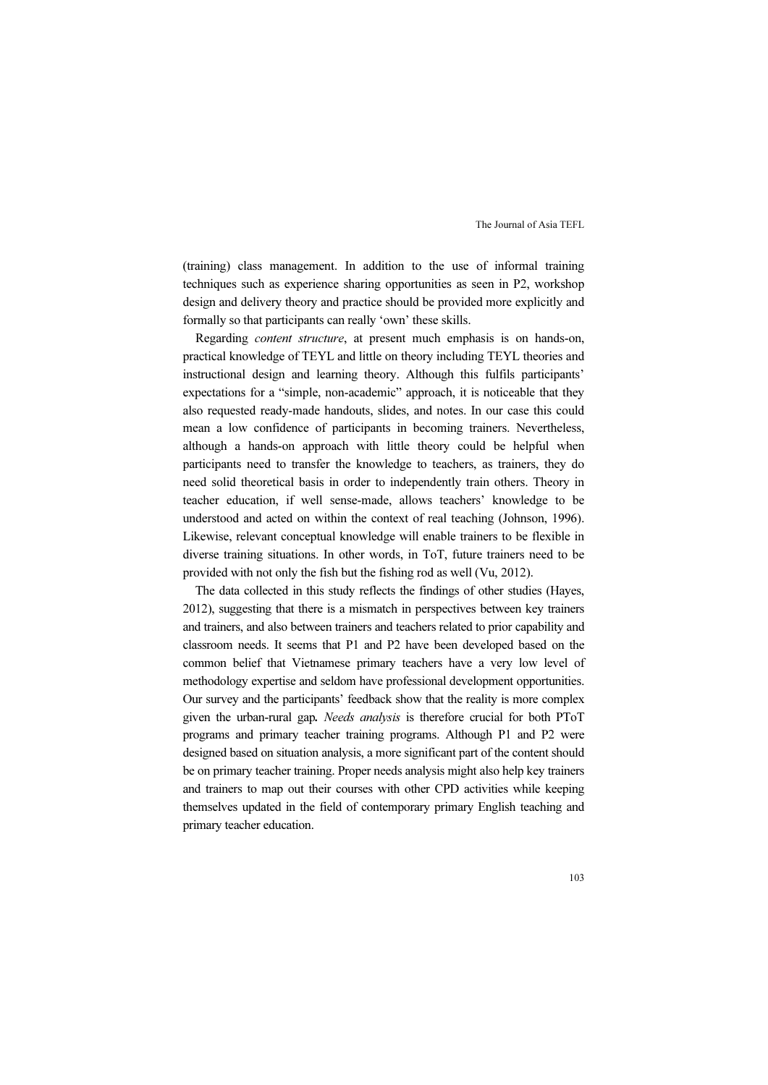(training) class management. In addition to the use of informal training techniques such as experience sharing opportunities as seen in P2, workshop design and delivery theory and practice should be provided more explicitly and formally so that participants can really 'own' these skills.

Regarding content structure, at present much emphasis is on hands-on, practical knowledge of TEYL and little on theory including TEYL theories and instructional design and learning theory. Although this fulfils participants' expectations for a "simple, non-academic" approach, it is noticeable that they also requested ready-made handouts, slides, and notes. In our case this could mean a low confidence of participants in becoming trainers. Nevertheless, although a hands-on approach with little theory could be helpful when participants need to transfer the knowledge to teachers, as trainers, they do need solid theoretical basis in order to independently train others. Theory in teacher education, if well sense-made, allows teachers' knowledge to be understood and acted on within the context of real teaching (Johnson, 1996). Likewise, relevant conceptual knowledge will enable trainers to be flexible in diverse training situations. In other words, in ToT, future trainers need to be provided with not only the fish but the fishing rod as well (Vu, 2012).

The data collected in this study reflects the findings of other studies (Hayes, 2012), suggesting that there is a mismatch in perspectives between key trainers and trainers, and also between trainers and teachers related to prior capability and classroom needs. It seems that P1 and P2 have been developed based on the common belief that Vietnamese primary teachers have a very low level of methodology expertise and seldom have professional development opportunities. Our survey and the participants' feedback show that the reality is more complex given the urban-rural gap. Needs analysis is therefore crucial for both PToT programs and primary teacher training programs. Although P1 and P2 were designed based on situation analysis, a more significant part of the content should be on primary teacher training. Proper needs analysis might also help key trainers and trainers to map out their courses with other CPD activities while keeping themselves updated in the field of contemporary primary English teaching and primary teacher education.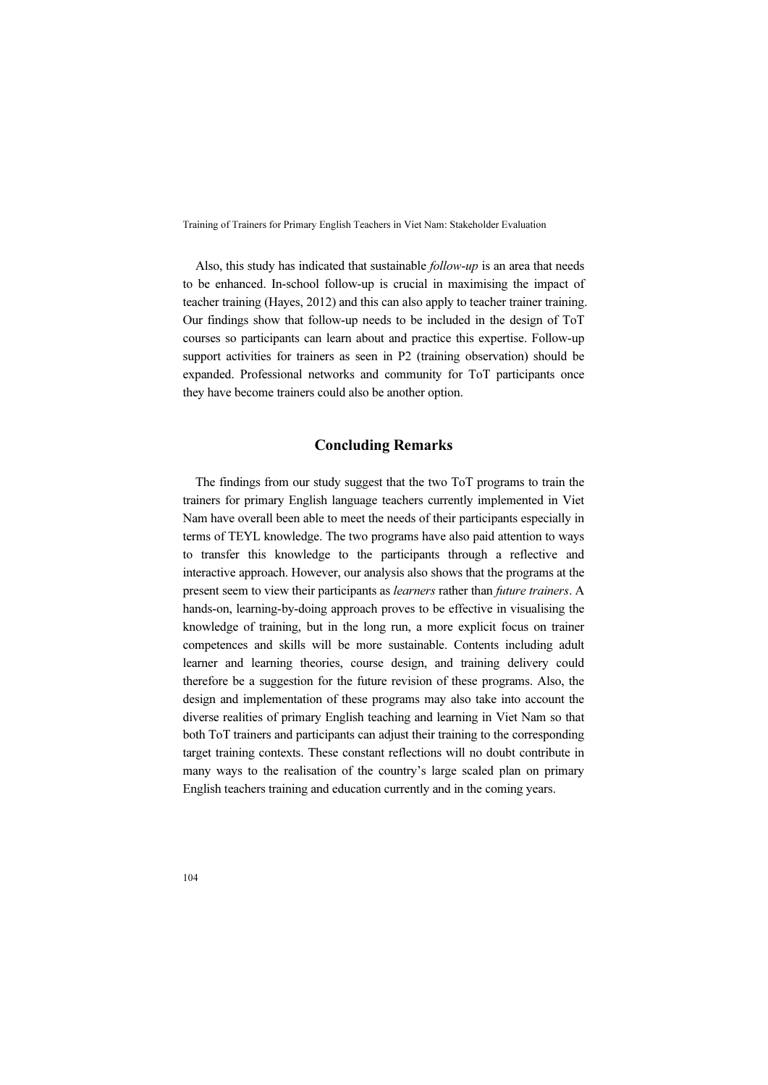Also, this study has indicated that sustainable follow-up is an area that needs to be enhanced. In-school follow-up is crucial in maximising the impact of teacher training (Hayes, 2012) and this can also apply to teacher trainer training. Our findings show that follow-up needs to be included in the design of ToT courses so participants can learn about and practice this expertise. Follow-up support activities for trainers as seen in P2 (training observation) should be expanded. Professional networks and community for ToT participants once they have become trainers could also be another option.

#### Concluding Remarks

The findings from our study suggest that the two ToT programs to train the trainers for primary English language teachers currently implemented in Viet Nam have overall been able to meet the needs of their participants especially in terms of TEYL knowledge. The two programs have also paid attention to ways to transfer this knowledge to the participants through a reflective and interactive approach. However, our analysis also shows that the programs at the present seem to view their participants as learners rather than future trainers. A hands-on, learning-by-doing approach proves to be effective in visualising the knowledge of training, but in the long run, a more explicit focus on trainer competences and skills will be more sustainable. Contents including adult learner and learning theories, course design, and training delivery could therefore be a suggestion for the future revision of these programs. Also, the design and implementation of these programs may also take into account the diverse realities of primary English teaching and learning in Viet Nam so that both ToT trainers and participants can adjust their training to the corresponding target training contexts. These constant reflections will no doubt contribute in many ways to the realisation of the country's large scaled plan on primary English teachers training and education currently and in the coming years.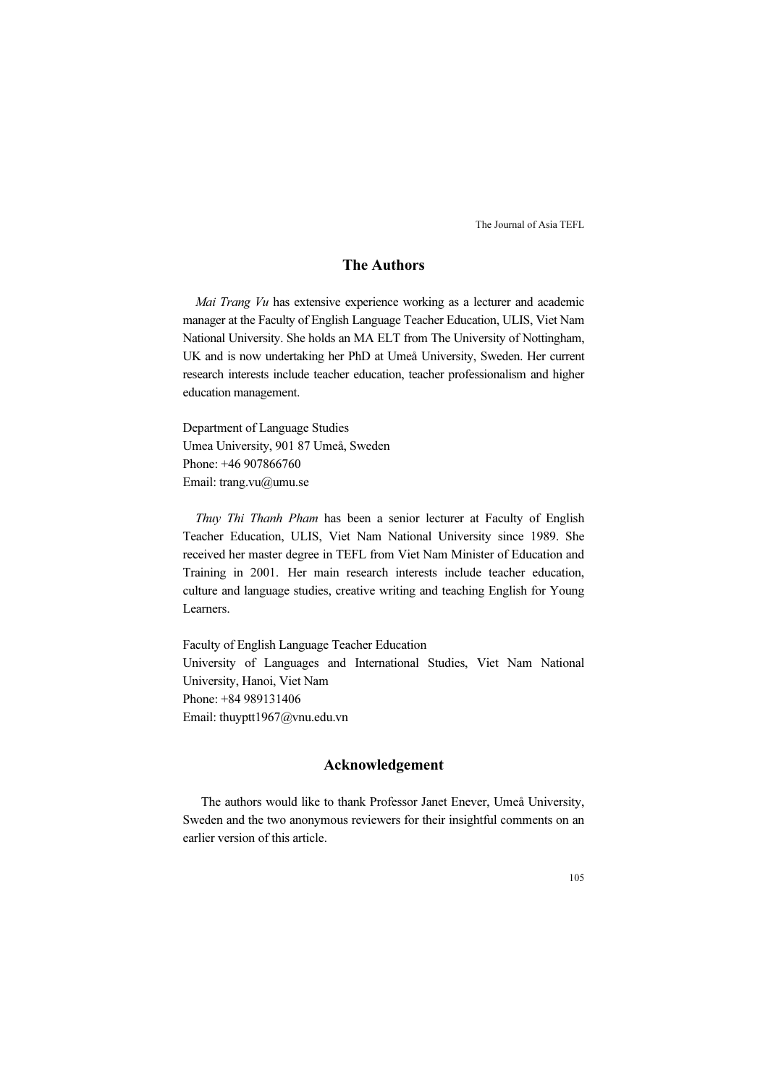## The Authors

Mai Trang Vu has extensive experience working as a lecturer and academic manager at the Faculty of English Language Teacher Education, ULIS, Viet Nam National University. She holds an MA ELT from The University of Nottingham, UK and is now undertaking her PhD at Umeå University, Sweden. Her current research interests include teacher education, teacher professionalism and higher education management.

Department of Language Studies Umea University, 901 87 Umeå, Sweden Phone: +46 907866760 Email: trang.vu@umu.se

Thuy Thi Thanh Pham has been a senior lecturer at Faculty of English Teacher Education, ULIS, Viet Nam National University since 1989. She received her master degree in TEFL from Viet Nam Minister of Education and Training in 2001. Her main research interests include teacher education, culture and language studies, creative writing and teaching English for Young Learners.

Faculty of English Language Teacher Education University of Languages and International Studies, Viet Nam National University, Hanoi, Viet Nam Phone: +84 989131406 Email: thuyptt1967@vnu.edu.vn

#### Acknowledgement

The authors would like to thank Professor Janet Enever, Umeå University, Sweden and the two anonymous reviewers for their insightful comments on an earlier version of this article.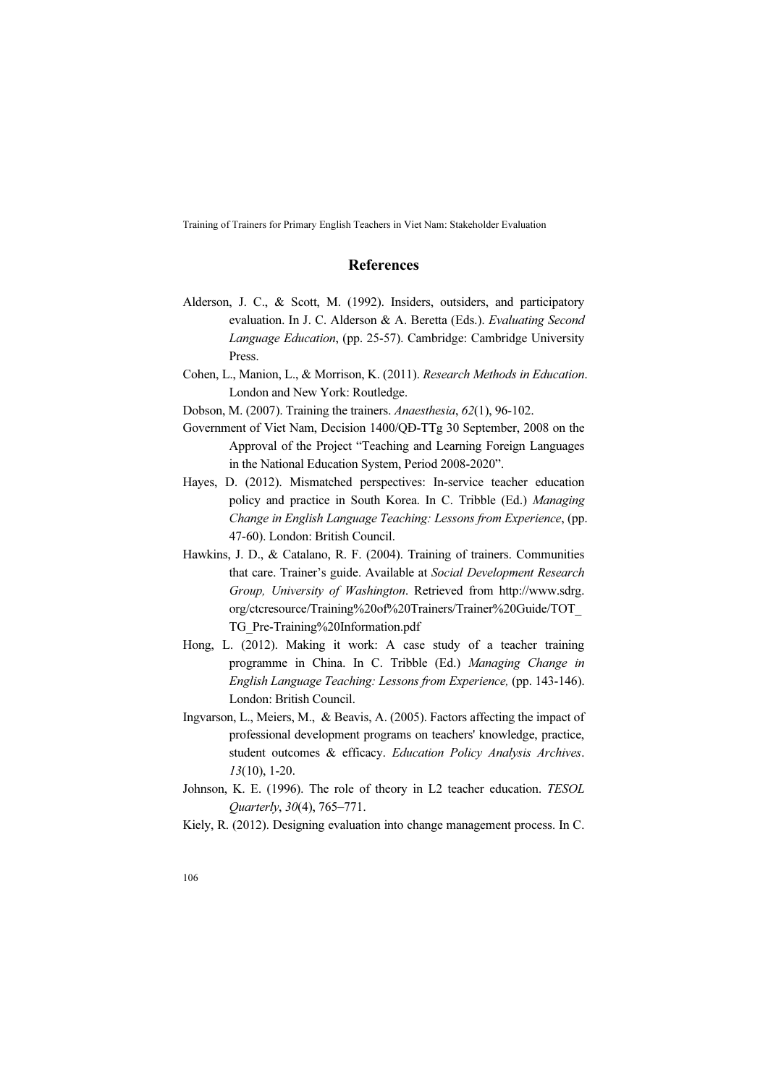#### References

- Alderson, J. C., & Scott, M. (1992). Insiders, outsiders, and participatory evaluation. In J. C. Alderson & A. Beretta (Eds.). Evaluating Second Language Education, (pp. 25-57). Cambridge: Cambridge University Press.
- Cohen, L., Manion, L., & Morrison, K. (2011). Research Methods in Education. London and New York: Routledge.
- Dobson, M. (2007). Training the trainers. Anaesthesia, 62(1), 96-102.
- Government of Viet Nam, Decision 1400/QĐ-TTg 30 September, 2008 on the Approval of the Project "Teaching and Learning Foreign Languages in the National Education System, Period 2008-2020".
- Hayes, D. (2012). Mismatched perspectives: In-service teacher education policy and practice in South Korea. In C. Tribble (Ed.) Managing Change in English Language Teaching: Lessons from Experience, (pp. 47-60). London: British Council.
- Hawkins, J. D., & Catalano, R. F. (2004). Training of trainers. Communities that care. Trainer's guide. Available at Social Development Research Group, University of Washington. Retrieved from http://www.sdrg. org/ctcresource/Training%20of%20Trainers/Trainer%20Guide/TOT\_ TG\_Pre-Training%20Information.pdf
- Hong, L. (2012). Making it work: A case study of a teacher training programme in China. In C. Tribble (Ed.) Managing Change in English Language Teaching: Lessons from Experience, (pp. 143-146). London: British Council.
- Ingvarson, L., Meiers, M., & Beavis, A. (2005). Factors affecting the impact of professional development programs on teachers' knowledge, practice, student outcomes & efficacy. Education Policy Analysis Archives. 13(10), 1-20.
- Johnson, K. E. (1996). The role of theory in L2 teacher education. TESOL Quarterly, 30(4), 765–771.
- Kiely, R. (2012). Designing evaluation into change management process. In C.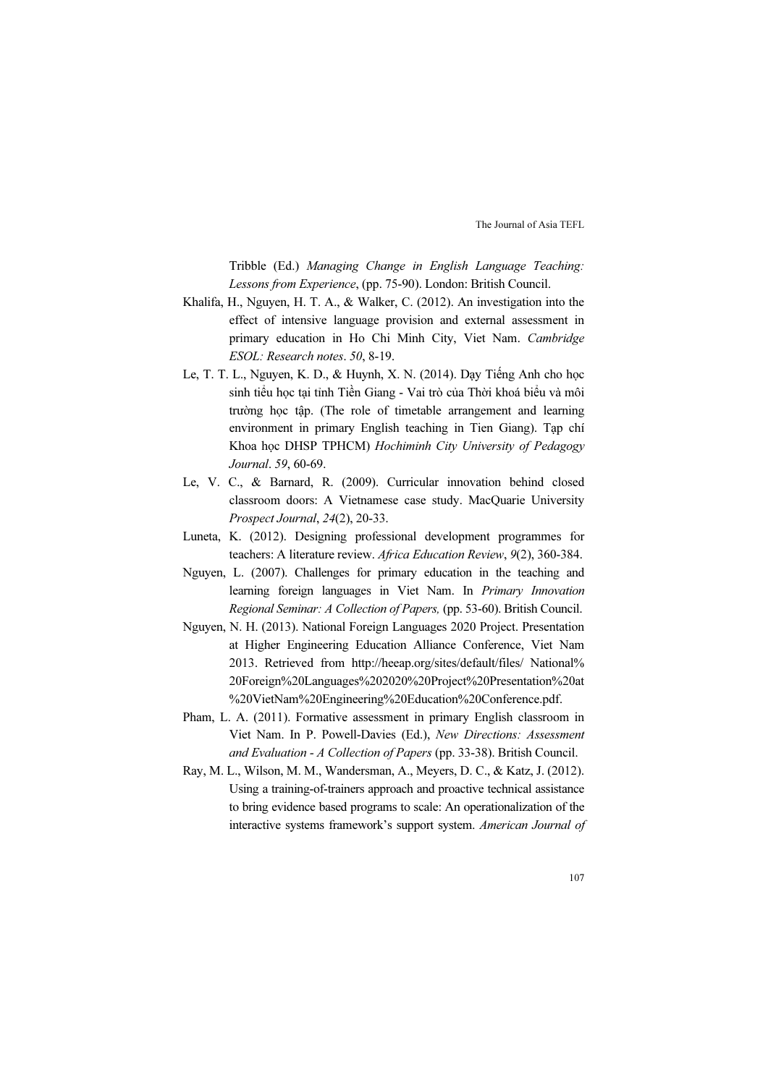Tribble (Ed.) Managing Change in English Language Teaching: Lessons from Experience, (pp. 75-90). London: British Council.

- Khalifa, H., Nguyen, H. T. A., & Walker, C. (2012). An investigation into the effect of intensive language provision and external assessment in primary education in Ho Chi Minh City, Viet Nam. Cambridge ESOL: Research notes. 50, 8-19.
- Le, T. T. L., Nguyen, K. D., & Huynh, X. N. (2014). Dạy Tiếng Anh cho học sinh tiểu học tại tỉnh Tiền Giang - Vai trò của Thời khoá biểu và môi trường học tập. (The role of timetable arrangement and learning environment in primary English teaching in Tien Giang). Tạp chí Khoa học DHSP TPHCM) Hochiminh City University of Pedagogy Journal. 59, 60-69.
- Le, V. C., & Barnard, R. (2009). Curricular innovation behind closed classroom doors: A Vietnamese case study. MacQuarie University Prospect Journal, 24(2), 20-33.
- Luneta, K. (2012). Designing professional development programmes for teachers: A literature review. Africa Education Review, 9(2), 360-384.
- Nguyen, L. (2007). Challenges for primary education in the teaching and learning foreign languages in Viet Nam. In Primary Innovation Regional Seminar: A Collection of Papers, (pp. 53-60). British Council.
- Nguyen, N. H. (2013). National Foreign Languages 2020 Project. Presentation at Higher Engineering Education Alliance Conference, Viet Nam 2013. Retrieved from http://heeap.org/sites/default/files/ National% 20Foreign%20Languages%202020%20Project%20Presentation%20at %20VietNam%20Engineering%20Education%20Conference.pdf.
- Pham, L. A. (2011). Formative assessment in primary English classroom in Viet Nam. In P. Powell-Davies (Ed.), New Directions: Assessment and Evaluation - A Collection of Papers (pp. 33-38). British Council.
- Ray, M. L., Wilson, M. M., Wandersman, A., Meyers, D. C., & Katz, J. (2012). Using a training-of-trainers approach and proactive technical assistance to bring evidence based programs to scale: An operationalization of the interactive systems framework's support system. American Journal of